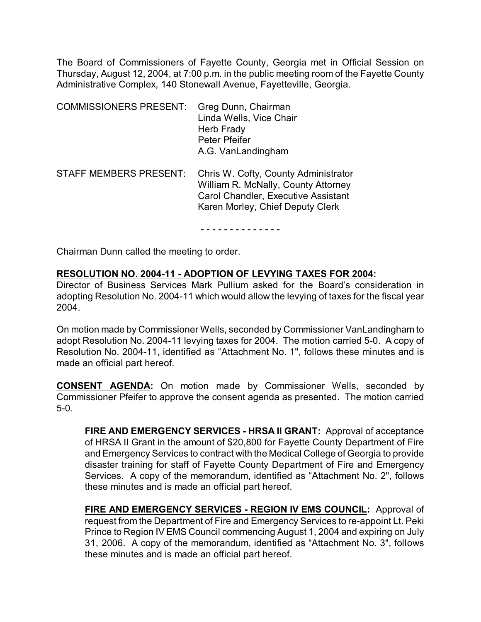The Board of Commissioners of Fayette County, Georgia met in Official Session on Thursday, August 12, 2004, at 7:00 p.m. in the public meeting room of the Fayette County Administrative Complex, 140 Stonewall Avenue, Fayetteville, Georgia.

| <b>COMMISSIONERS PRESENT:</b> | Greg Dunn, Chairman<br>Linda Wells, Vice Chair<br>Herb Frady<br>Peter Pfeifer<br>A.G. VanLandingham                                                           |
|-------------------------------|---------------------------------------------------------------------------------------------------------------------------------------------------------------|
| <b>STAFF MEMBERS PRESENT:</b> | Chris W. Cofty, County Administrator<br>William R. McNally, County Attorney<br><b>Carol Chandler, Executive Assistant</b><br>Karen Morley, Chief Deputy Clerk |

- - - - - - - - - - - - - -

Chairman Dunn called the meeting to order.

## **RESOLUTION NO. 2004-11 - ADOPTION OF LEVYING TAXES FOR 2004:**

Director of Business Services Mark Pullium asked for the Board's consideration in adopting Resolution No. 2004-11 which would allow the levying of taxes for the fiscal year 2004.

On motion made by Commissioner Wells, seconded by Commissioner VanLandingham to adopt Resolution No. 2004-11 levying taxes for 2004. The motion carried 5-0. A copy of Resolution No. 2004-11, identified as "Attachment No. 1", follows these minutes and is made an official part hereof.

**CONSENT AGENDA:** On motion made by Commissioner Wells, seconded by Commissioner Pfeifer to approve the consent agenda as presented. The motion carried 5-0.

**FIRE AND EMERGENCY SERVICES - HRSA II GRANT:** Approval of acceptance of HRSA II Grant in the amount of \$20,800 for Fayette County Department of Fire and Emergency Services to contract with the Medical College of Georgia to provide disaster training for staff of Fayette County Department of Fire and Emergency Services. A copy of the memorandum, identified as "Attachment No. 2", follows these minutes and is made an official part hereof.

**FIRE AND EMERGENCY SERVICES - REGION IV EMS COUNCIL:** Approval of request from the Department of Fire and Emergency Services to re-appoint Lt. Peki Prince to Region IV EMS Council commencing August 1, 2004 and expiring on July 31, 2006. A copy of the memorandum, identified as "Attachment No. 3", follows these minutes and is made an official part hereof.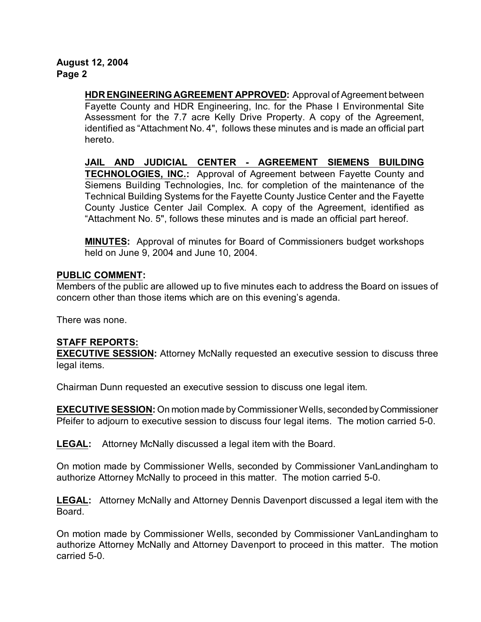**August 12, 2004 Page 2**

> **HDR ENGINEERING AGREEMENT APPROVED:** Approval of Agreement between Fayette County and HDR Engineering, Inc. for the Phase I Environmental Site Assessment for the 7.7 acre Kelly Drive Property. A copy of the Agreement, identified as "Attachment No. 4", follows these minutes and is made an official part hereto.

> **JAIL AND JUDICIAL CENTER - AGREEMENT SIEMENS BUILDING TECHNOLOGIES, INC.:** Approval of Agreement between Fayette County and Siemens Building Technologies, Inc. for completion of the maintenance of the Technical Building Systems for the Fayette County Justice Center and the Fayette County Justice Center Jail Complex. A copy of the Agreement, identified as "Attachment No. 5", follows these minutes and is made an official part hereof.

> **MINUTES:** Approval of minutes for Board of Commissioners budget workshops held on June 9, 2004 and June 10, 2004.

## **PUBLIC COMMENT:**

Members of the public are allowed up to five minutes each to address the Board on issues of concern other than those items which are on this evening's agenda.

There was none.

## **STAFF REPORTS:**

**EXECUTIVE SESSION:** Attorney McNally requested an executive session to discuss three legal items.

Chairman Dunn requested an executive session to discuss one legal item.

**EXECUTIVE SESSION:** On motion made by Commissioner Wells, seconded by Commissioner Pfeifer to adjourn to executive session to discuss four legal items. The motion carried 5-0.

**LEGAL:** Attorney McNally discussed a legal item with the Board.

On motion made by Commissioner Wells, seconded by Commissioner VanLandingham to authorize Attorney McNally to proceed in this matter. The motion carried 5-0.

**LEGAL:** Attorney McNally and Attorney Dennis Davenport discussed a legal item with the Board.

On motion made by Commissioner Wells, seconded by Commissioner VanLandingham to authorize Attorney McNally and Attorney Davenport to proceed in this matter. The motion carried 5-0.